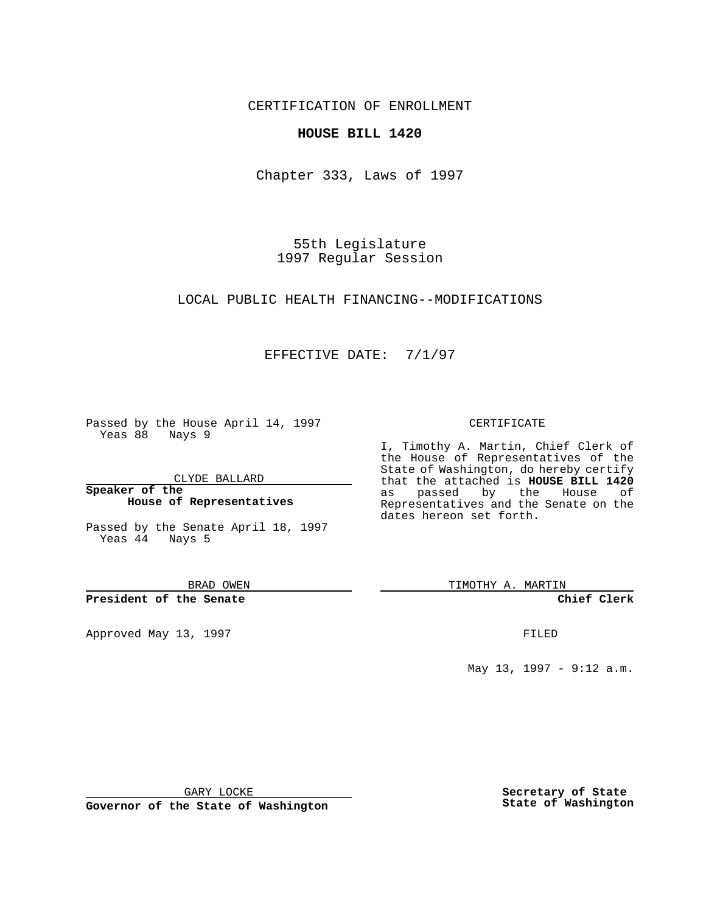CERTIFICATION OF ENROLLMENT

## **HOUSE BILL 1420**

Chapter 333, Laws of 1997

55th Legislature 1997 Regular Session

LOCAL PUBLIC HEALTH FINANCING--MODIFICATIONS

## EFFECTIVE DATE: 7/1/97

Passed by the House April 14, 1997 Yeas 88 Nays 9

CLYDE BALLARD

**Speaker of the House of Representatives**

Passed by the Senate April 18, 1997 Yeas 44 Nays 5

BRAD OWEN

**President of the Senate**

Approved May 13, 1997 **FILED** 

### CERTIFICATE

I, Timothy A. Martin, Chief Clerk of the House of Representatives of the State of Washington, do hereby certify that the attached is **HOUSE BILL 1420** as passed by the House of Representatives and the Senate on the dates hereon set forth.

TIMOTHY A. MARTIN

**Chief Clerk**

May 13, 1997 - 9:12 a.m.

GARY LOCKE

**Governor of the State of Washington**

**Secretary of State State of Washington**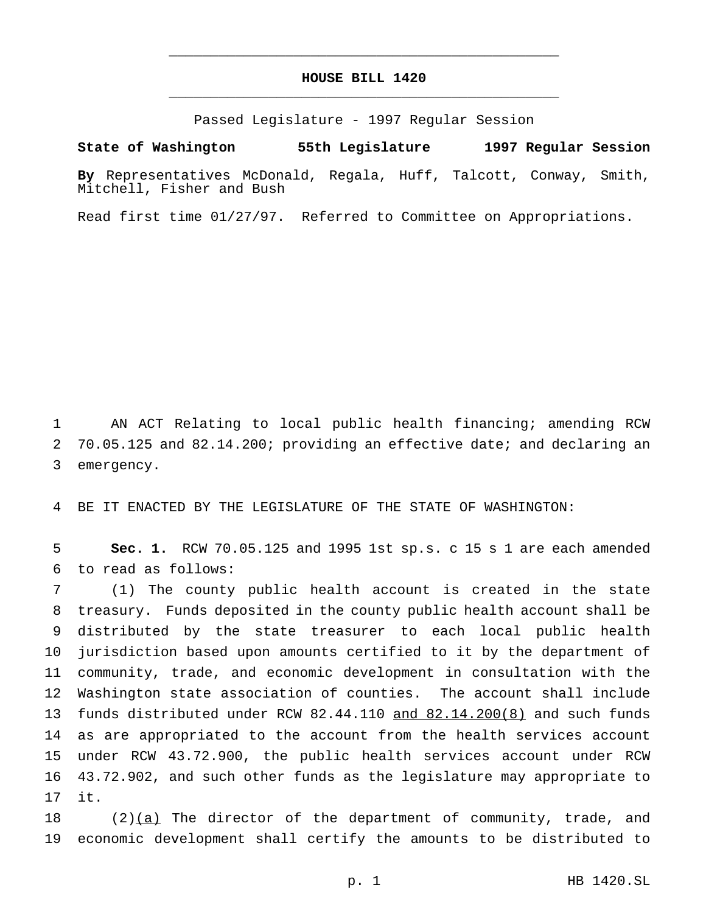# **HOUSE BILL 1420** \_\_\_\_\_\_\_\_\_\_\_\_\_\_\_\_\_\_\_\_\_\_\_\_\_\_\_\_\_\_\_\_\_\_\_\_\_\_\_\_\_\_\_\_\_\_\_

\_\_\_\_\_\_\_\_\_\_\_\_\_\_\_\_\_\_\_\_\_\_\_\_\_\_\_\_\_\_\_\_\_\_\_\_\_\_\_\_\_\_\_\_\_\_\_

Passed Legislature - 1997 Regular Session

#### **State of Washington 55th Legislature 1997 Regular Session**

**By** Representatives McDonald, Regala, Huff, Talcott, Conway, Smith, Mitchell, Fisher and Bush

Read first time 01/27/97. Referred to Committee on Appropriations.

 AN ACT Relating to local public health financing; amending RCW 70.05.125 and 82.14.200; providing an effective date; and declaring an emergency.

BE IT ENACTED BY THE LEGISLATURE OF THE STATE OF WASHINGTON:

 **Sec. 1.** RCW 70.05.125 and 1995 1st sp.s. c 15 s 1 are each amended to read as follows:

 (1) The county public health account is created in the state treasury. Funds deposited in the county public health account shall be distributed by the state treasurer to each local public health jurisdiction based upon amounts certified to it by the department of community, trade, and economic development in consultation with the Washington state association of counties. The account shall include funds distributed under RCW 82.44.110 and 82.14.200(8) and such funds as are appropriated to the account from the health services account under RCW 43.72.900, the public health services account under RCW 43.72.902, and such other funds as the legislature may appropriate to it.

 $(2)$ (a) The director of the department of community, trade, and economic development shall certify the amounts to be distributed to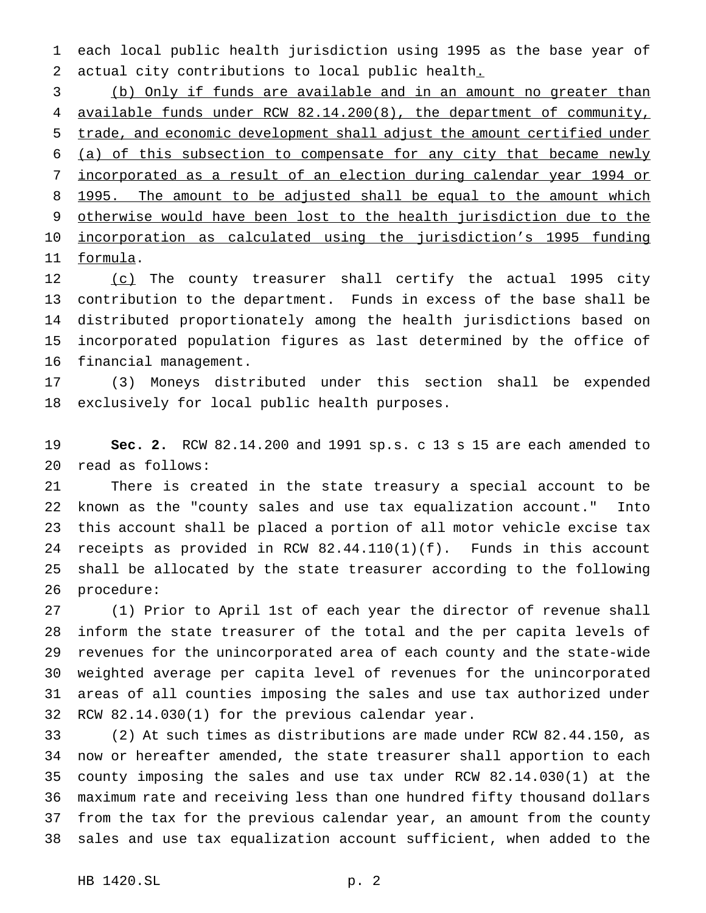each local public health jurisdiction using 1995 as the base year of actual city contributions to local public health.

 (b) Only if funds are available and in an amount no greater than available funds under RCW 82.14.200(8), the department of community, trade, and economic development shall adjust the amount certified under (a) of this subsection to compensate for any city that became newly incorporated as a result of an election during calendar year 1994 or 8 1995. The amount to be adjusted shall be equal to the amount which otherwise would have been lost to the health jurisdiction due to the incorporation as calculated using the jurisdiction's 1995 funding formula.

12 (c) The county treasurer shall certify the actual 1995 city contribution to the department. Funds in excess of the base shall be distributed proportionately among the health jurisdictions based on incorporated population figures as last determined by the office of financial management.

 (3) Moneys distributed under this section shall be expended exclusively for local public health purposes.

 **Sec. 2.** RCW 82.14.200 and 1991 sp.s. c 13 s 15 are each amended to read as follows:

 There is created in the state treasury a special account to be known as the "county sales and use tax equalization account." Into this account shall be placed a portion of all motor vehicle excise tax receipts as provided in RCW 82.44.110(1)(f). Funds in this account shall be allocated by the state treasurer according to the following procedure:

 (1) Prior to April 1st of each year the director of revenue shall inform the state treasurer of the total and the per capita levels of revenues for the unincorporated area of each county and the state-wide weighted average per capita level of revenues for the unincorporated areas of all counties imposing the sales and use tax authorized under RCW 82.14.030(1) for the previous calendar year.

 (2) At such times as distributions are made under RCW 82.44.150, as now or hereafter amended, the state treasurer shall apportion to each county imposing the sales and use tax under RCW 82.14.030(1) at the maximum rate and receiving less than one hundred fifty thousand dollars from the tax for the previous calendar year, an amount from the county sales and use tax equalization account sufficient, when added to the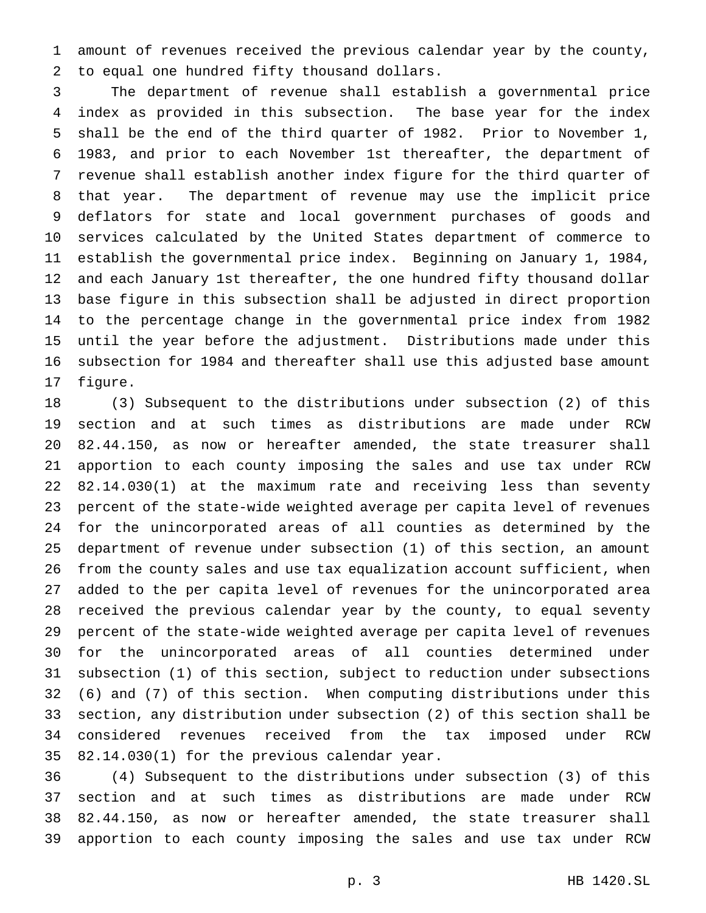amount of revenues received the previous calendar year by the county, to equal one hundred fifty thousand dollars.

 The department of revenue shall establish a governmental price index as provided in this subsection. The base year for the index shall be the end of the third quarter of 1982. Prior to November 1, 1983, and prior to each November 1st thereafter, the department of revenue shall establish another index figure for the third quarter of that year. The department of revenue may use the implicit price deflators for state and local government purchases of goods and services calculated by the United States department of commerce to establish the governmental price index. Beginning on January 1, 1984, and each January 1st thereafter, the one hundred fifty thousand dollar base figure in this subsection shall be adjusted in direct proportion to the percentage change in the governmental price index from 1982 until the year before the adjustment. Distributions made under this subsection for 1984 and thereafter shall use this adjusted base amount figure.

 (3) Subsequent to the distributions under subsection (2) of this section and at such times as distributions are made under RCW 82.44.150, as now or hereafter amended, the state treasurer shall apportion to each county imposing the sales and use tax under RCW 82.14.030(1) at the maximum rate and receiving less than seventy percent of the state-wide weighted average per capita level of revenues for the unincorporated areas of all counties as determined by the department of revenue under subsection (1) of this section, an amount from the county sales and use tax equalization account sufficient, when added to the per capita level of revenues for the unincorporated area received the previous calendar year by the county, to equal seventy percent of the state-wide weighted average per capita level of revenues for the unincorporated areas of all counties determined under subsection (1) of this section, subject to reduction under subsections (6) and (7) of this section. When computing distributions under this section, any distribution under subsection (2) of this section shall be considered revenues received from the tax imposed under RCW 82.14.030(1) for the previous calendar year.

 (4) Subsequent to the distributions under subsection (3) of this section and at such times as distributions are made under RCW 82.44.150, as now or hereafter amended, the state treasurer shall apportion to each county imposing the sales and use tax under RCW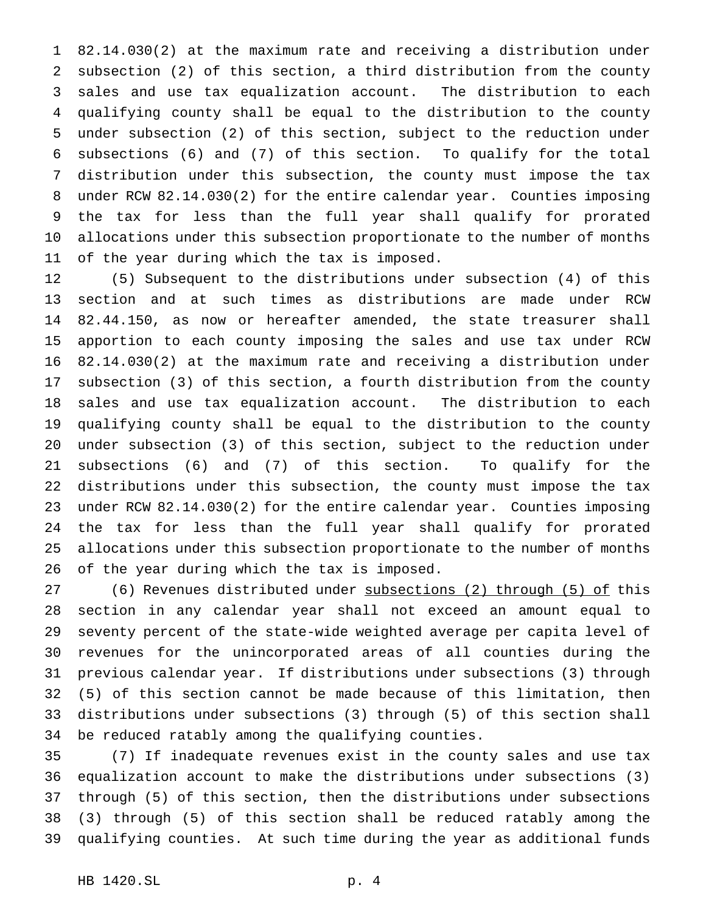82.14.030(2) at the maximum rate and receiving a distribution under subsection (2) of this section, a third distribution from the county sales and use tax equalization account. The distribution to each qualifying county shall be equal to the distribution to the county under subsection (2) of this section, subject to the reduction under subsections (6) and (7) of this section. To qualify for the total distribution under this subsection, the county must impose the tax under RCW 82.14.030(2) for the entire calendar year. Counties imposing the tax for less than the full year shall qualify for prorated allocations under this subsection proportionate to the number of months of the year during which the tax is imposed.

 (5) Subsequent to the distributions under subsection (4) of this section and at such times as distributions are made under RCW 82.44.150, as now or hereafter amended, the state treasurer shall apportion to each county imposing the sales and use tax under RCW 82.14.030(2) at the maximum rate and receiving a distribution under subsection (3) of this section, a fourth distribution from the county sales and use tax equalization account. The distribution to each qualifying county shall be equal to the distribution to the county under subsection (3) of this section, subject to the reduction under subsections (6) and (7) of this section. To qualify for the distributions under this subsection, the county must impose the tax under RCW 82.14.030(2) for the entire calendar year. Counties imposing the tax for less than the full year shall qualify for prorated allocations under this subsection proportionate to the number of months of the year during which the tax is imposed.

 (6) Revenues distributed under subsections (2) through (5) of this section in any calendar year shall not exceed an amount equal to seventy percent of the state-wide weighted average per capita level of revenues for the unincorporated areas of all counties during the previous calendar year. If distributions under subsections (3) through (5) of this section cannot be made because of this limitation, then distributions under subsections (3) through (5) of this section shall be reduced ratably among the qualifying counties.

 (7) If inadequate revenues exist in the county sales and use tax equalization account to make the distributions under subsections (3) through (5) of this section, then the distributions under subsections (3) through (5) of this section shall be reduced ratably among the qualifying counties. At such time during the year as additional funds